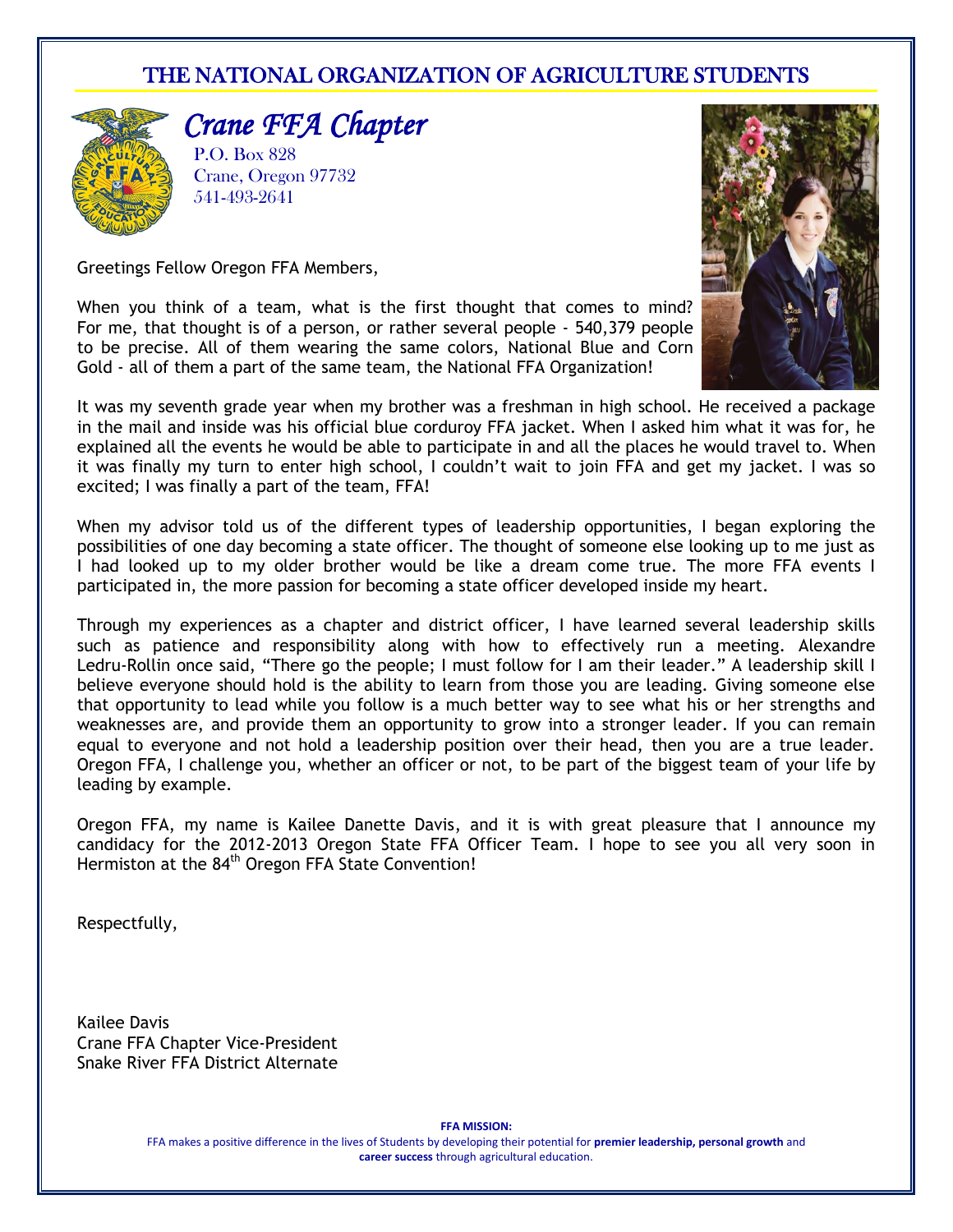### THE NATIONAL ORGANIZATION OF AGRICULTURE STUDENTS



*Crane FFA Chapter* 

P.O. Box 828 Crane, Oregon 97732 541-493-2641



Greetings Fellow Oregon FFA Members,

When you think of a team, what is the first thought that comes to mind? For me, that thought is of a person, or rather several people - 540,379 people to be precise. All of them wearing the same colors, National Blue and Corn Gold - all of them a part of the same team, the National FFA Organization!

It was my seventh grade year when my brother was a freshman in high school. He received a package in the mail and inside was his official blue corduroy FFA jacket. When I asked him what it was for, he explained all the events he would be able to participate in and all the places he would travel to. When it was finally my turn to enter high school, I couldn't wait to join FFA and get my jacket. I was so excited; I was finally a part of the team, FFA!

When my advisor told us of the different types of leadership opportunities, I began exploring the possibilities of one day becoming a state officer. The thought of someone else looking up to me just as I had looked up to my older brother would be like a dream come true. The more FFA events I participated in, the more passion for becoming a state officer developed inside my heart.

Through my experiences as a chapter and district officer, I have learned several leadership skills such as patience and responsibility along with how to effectively run a meeting. Alexandre Ledru-Rollin once said, "There go the people; I must follow for I am their leader." A leadership skill I believe everyone should hold is the ability to learn from those you are leading. Giving someone else that opportunity to lead while you follow is a much better way to see what his or her strengths and weaknesses are, and provide them an opportunity to grow into a stronger leader. If you can remain equal to everyone and not hold a leadership position over their head, then you are a true leader. Oregon FFA, I challenge you, whether an officer or not, to be part of the biggest team of your life by leading by example.

Oregon FFA, my name is Kailee Danette Davis, and it is with great pleasure that I announce my candidacy for the 2012-2013 Oregon State FFA Officer Team. I hope to see you all very soon in Hermiston at the 84<sup>th</sup> Oregon FFA State Convention!

Respectfully,

Kailee Davis Crane FFA Chapter Vice-President Snake River FFA District Alternate

**FFA MISSION:**

FFA makes a positive difference in the lives of Students by developing their potential for **premier leadership, personal growth** and **career success** through agricultural education.